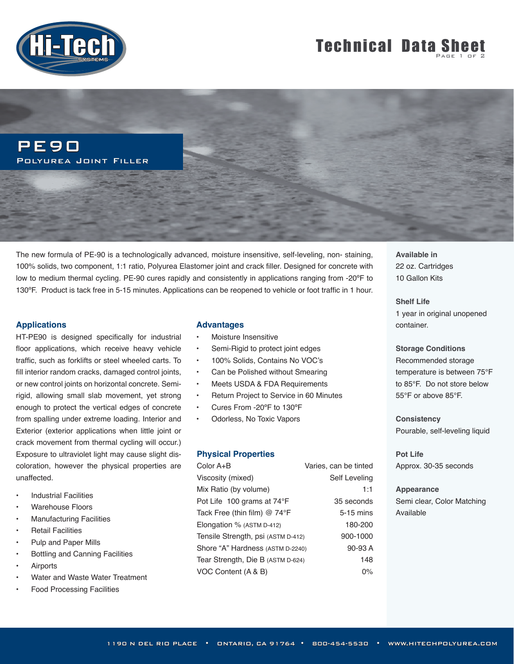

# **Technical Data Sheet**

PE90 Polyurea Joint Filler

The new formula of PE-90 is a technologically advanced, moisture insensitive, self-leveling, non- staining, 100% solids, two component, 1:1 ratio, Polyurea Elastomer joint and crack filler. Designed for concrete with low to medium thermal cycling. PE-90 cures rapidly and consistently in applications ranging from -20°F to 130ºF. Product is tack free in 5-15 minutes. Applications can be reopened to vehicle or foot traffic in 1 hour.

#### **Applications**

HT-PE90 is designed specifically for industrial floor applications, which receive heavy vehicle traffic, such as forklifts or steel wheeled carts. To fill interior random cracks, damaged control joints, or new control joints on horizontal concrete. Semirigid, allowing small slab movement, yet strong enough to protect the vertical edges of concrete from spalling under extreme loading. Interior and Exterior (exterior applications when little joint or crack movement from thermal cycling will occur.) Exposure to ultraviolet light may cause slight discoloration, however the physical properties are unaffected.

- **Industrial Facilities**
- Warehouse Floors
- Manufacturing Facilities
- **Retail Facilities**
- Pulp and Paper Mills
- Bottling and Canning Facilities
- **Airports**
- Water and Waste Water Treatment
- Food Processing Facilities

#### **Advantages**

- Moisture Insensitive
- Semi-Rigid to protect joint edges
- 100% Solids, Contains No VOC's
- Can be Polished without Smearing
- Meets USDA & FDA Requirements
- Return Project to Service in 60 Minutes
- Cures From -20ºF to 130ºF
- Odorless, No Toxic Vapors

#### **Physical Properties**

| Color A+B                            | Varies, can be tinted |
|--------------------------------------|-----------------------|
| Viscosity (mixed)                    | Self Leveling         |
| Mix Ratio (by volume)                | 1:1                   |
| Pot Life 100 grams at 74°F           | 35 seconds            |
| Tack Free (thin film) $@74^{\circ}F$ | $5-15$ mins           |
| Elongation $%$ (ASTM D-412)          | 180-200               |
| Tensile Strength, psi (ASTM D-412)   | 900-1000              |
| Shore "A" Hardness (ASTM D-2240)     | 90-93 A               |
| Tear Strength, Die B (ASTM D-624)    | 148                   |
| VOC Content (A & B)                  | 0%                    |

**Available in** 22 oz. Cartridges 10 Gallon Kits

**Shelf Life**  1 year in original unopened container.

**Storage Conditions** Recommended storage temperature is between 75°F to 85°F. Do not store below 55°F or above 85°F.

**Consistency** Pourable, self-leveling liquid

**Pot Life** Approx. 30-35 seconds

**Appearance** Semi clear, Color Matching Available